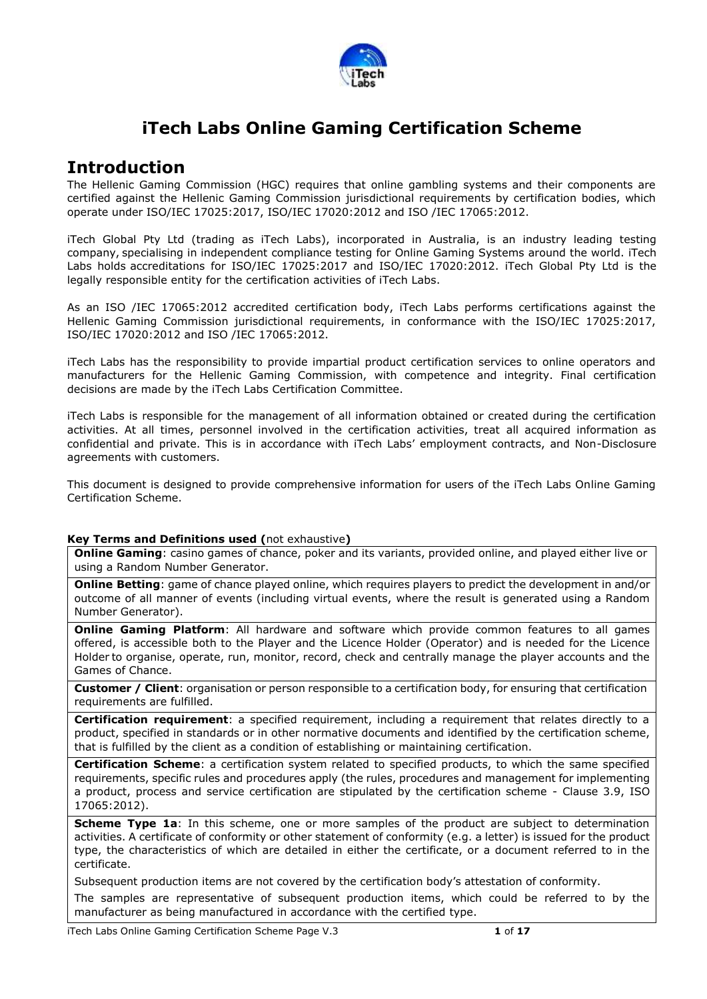

## **iTech Labs Online Gaming Certification Scheme**

### **Introduction**

The Hellenic Gaming Commission (HGC) requires that online gambling systems and their components are certified against the Hellenic Gaming Commission jurisdictional requirements by certification bodies, which operate under ISO/IEC 17025:2017, ISO/IEC 17020:2012 and ISO /IEC 17065:2012.

iTech Global Pty Ltd (trading as iTech Labs), incorporated in Australia, is an industry leading testing company, specialising in independent compliance testing for Online Gaming Systems around the world. iTech Labs holds accreditations for ISO/IEC 17025:2017 and ISO/IEC 17020:2012. iTech Global Pty Ltd is the legally responsible entity for the certification activities of iTech Labs.

As an ISO /IEC 17065:2012 accredited certification body, iTech Labs performs certifications against the Hellenic Gaming Commission jurisdictional requirements, in conformance with the ISO/IEC 17025:2017, ISO/IEC 17020:2012 and ISO /IEC 17065:2012.

iTech Labs has the responsibility to provide impartial product certification services to online operators and manufacturers for the Hellenic Gaming Commission, with competence and integrity. Final certification decisions are made by the iTech Labs Certification Committee.

iTech Labs is responsible for the management of all information obtained or created during the certification activities. At all times, personnel involved in the certification activities, treat all acquired information as confidential and private. This is in accordance with iTech Labs' employment contracts, and Non-Disclosure agreements with customers.

This document is designed to provide comprehensive information for users of the iTech Labs Online Gaming Certification Scheme.

### **Key Terms and Definitions used (**not exhaustive**)**

**Online Gaming**: casino games of chance, poker and its variants, provided online, and played either live or using a Random Number Generator.

**Online Betting**: game of chance played online, which requires players to predict the development in and/or outcome of all manner of events (including virtual events, where the result is generated using a Random Number Generator).

**Online Gaming Platform**: All hardware and software which provide common features to all games offered, is accessible both to the Player and the Licence Holder (Operator) and is needed for the Licence Holder to organise, operate, run, monitor, record, check and centrally manage the player accounts and the Games of Chance.

**Customer / Client**: organisation or person responsible to a certification body, for ensuring that certification requirements are fulfilled.

**Certification requirement**: a specified requirement, including a requirement that relates directly to a product, specified in standards or in other normative documents and identified by the certification scheme, that is fulfilled by the client as a condition of establishing or maintaining certification.

**Certification Scheme**: a certification system related to specified products, to which the same specified requirements, specific rules and procedures apply (the rules, procedures and management for implementing a product, process and service certification are stipulated by the certification scheme - Clause 3.9, ISO 17065:2012).

**Scheme Type 1a**: In this scheme, one or more samples of the product are subject to determination activities. A certificate of conformity or other statement of conformity (e.g. a letter) is issued for the product type, the characteristics of which are detailed in either the certificate, or a document referred to in the certificate.

Subsequent production items are not covered by the certification body's attestation of conformity.

The samples are representative of subsequent production items, which could be referred to by the manufacturer as being manufactured in accordance with the certified type.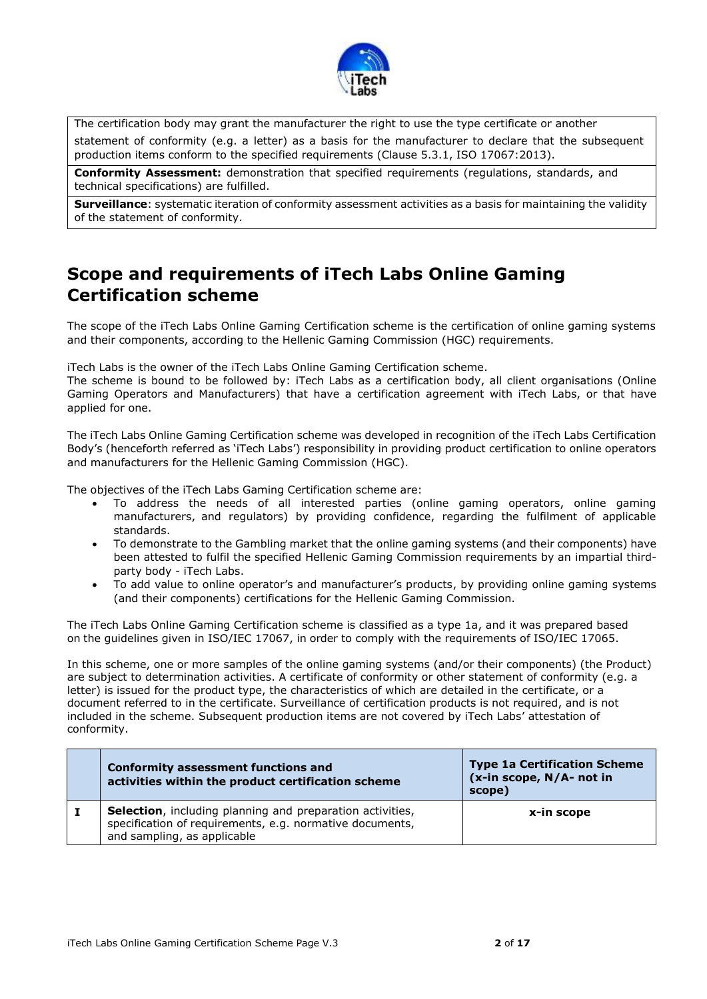

The certification body may grant the manufacturer the right to use the type certificate or another statement of conformity (e.g. a letter) as a basis for the manufacturer to declare that the subsequent production items conform to the specified requirements (Clause 5.3.1, ISO 17067:2013).

**Conformity Assessment:** demonstration that specified requirements (regulations, standards, and technical specifications) are fulfilled.

**Surveillance**: systematic iteration of conformity assessment activities as a basis for maintaining the validity of the statement of conformity.

# **Scope and requirements of iTech Labs Online Gaming Certification scheme**

The scope of the iTech Labs Online Gaming Certification scheme is the certification of online gaming systems and their components, according to the Hellenic Gaming Commission (HGC) requirements.

iTech Labs is the owner of the iTech Labs Online Gaming Certification scheme.

The scheme is bound to be followed by: iTech Labs as a certification body, all client organisations (Online Gaming Operators and Manufacturers) that have a certification agreement with iTech Labs, or that have applied for one.

The iTech Labs Online Gaming Certification scheme was developed in recognition of the iTech Labs Certification Body's (henceforth referred as 'iTech Labs') responsibility in providing product certification to online operators and manufacturers for the Hellenic Gaming Commission (HGC).

The objectives of the iTech Labs Gaming Certification scheme are:

- To address the needs of all interested parties (online gaming operators, online gaming manufacturers, and regulators) by providing confidence, regarding the fulfilment of applicable standards.
- To demonstrate to the Gambling market that the online gaming systems (and their components) have been attested to fulfil the specified Hellenic Gaming Commission requirements by an impartial thirdparty body - iTech Labs.
- To add value to online operator's and manufacturer's products, by providing online gaming systems (and their components) certifications for the Hellenic Gaming Commission.

The iTech Labs Online Gaming Certification scheme is classified as a type 1a, and it was prepared based on the guidelines given in ISO/IEC 17067, in order to comply with the requirements of ISO/IEC 17065.

In this scheme, one or more samples of the online gaming systems (and/or their components) (the Product) are subject to determination activities. A certificate of conformity or other statement of conformity (e.g. a letter) is issued for the product type, the characteristics of which are detailed in the certificate, or a document referred to in the certificate. Surveillance of certification products is not required, and is not included in the scheme. Subsequent production items are not covered by iTech Labs' attestation of conformity.

| <b>Conformity assessment functions and</b><br>activities within the product certification scheme                                                             | <b>Type 1a Certification Scheme</b><br>(x-in scope, N/A- not in<br>scope) |
|--------------------------------------------------------------------------------------------------------------------------------------------------------------|---------------------------------------------------------------------------|
| <b>Selection</b> , including planning and preparation activities,<br>specification of requirements, e.g. normative documents,<br>and sampling, as applicable | x-in scope                                                                |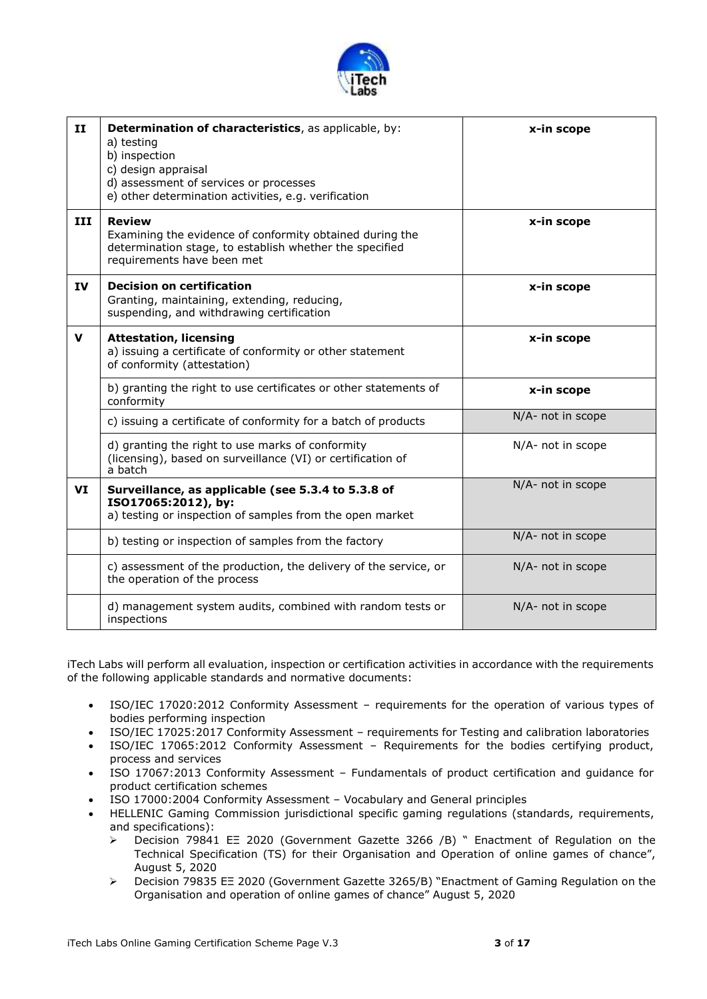

| $\mathbf{H}$ | Determination of characteristics, as applicable, by:<br>a) testing<br>b) inspection<br>c) design appraisal<br>d) assessment of services or processes<br>e) other determination activities, e.g. verification | x-in scope        |
|--------------|--------------------------------------------------------------------------------------------------------------------------------------------------------------------------------------------------------------|-------------------|
| III          | <b>Review</b><br>Examining the evidence of conformity obtained during the<br>determination stage, to establish whether the specified<br>requirements have been met                                           | x-in scope        |
| IV           | <b>Decision on certification</b><br>Granting, maintaining, extending, reducing,<br>suspending, and withdrawing certification                                                                                 | x-in scope        |
| v            | <b>Attestation, licensing</b><br>a) issuing a certificate of conformity or other statement<br>of conformity (attestation)                                                                                    | x-in scope        |
|              | b) granting the right to use certificates or other statements of<br>conformity                                                                                                                               | x-in scope        |
|              | c) issuing a certificate of conformity for a batch of products                                                                                                                                               | N/A- not in scope |
|              | d) granting the right to use marks of conformity<br>(licensing), based on surveillance (VI) or certification of<br>a batch                                                                                   | N/A- not in scope |
| VI           | Surveillance, as applicable (see 5.3.4 to 5.3.8 of<br>ISO17065:2012), by:<br>a) testing or inspection of samples from the open market                                                                        | N/A- not in scope |
|              | b) testing or inspection of samples from the factory                                                                                                                                                         | N/A- not in scope |
|              | c) assessment of the production, the delivery of the service, or<br>the operation of the process                                                                                                             | N/A- not in scope |
|              | d) management system audits, combined with random tests or<br>inspections                                                                                                                                    | N/A- not in scope |

iTech Labs will perform all evaluation, inspection or certification activities in accordance with the requirements of the following applicable standards and normative documents:

- ISO/IEC 17020:2012 Conformity Assessment requirements for the operation of various types of bodies performing inspection
- ISO/IEC 17025:2017 Conformity Assessment requirements for Testing and calibration laboratories<br>• ISO/IEC 17065:2012 Conformity Assessment Requirements for the bodies certifying product.
- ISO/IEC 17065:2012 Conformity Assessment Requirements for the bodies certifying product, process and services
- ISO 17067:2013 Conformity Assessment Fundamentals of product certification and guidance for product certification schemes
- ISO 17000:2004 Conformity Assessment Vocabulary and General principles
- HELLENIC Gaming Commission jurisdictional specific gaming regulations (standards, requirements, and specifications):
	- Decision 79841 ΕΞ 2020 (Government Gazette 3266 /Β) " Enactment of Regulation on the Technical Specification (TS) for their Organisation and Operation of online games of chance", August 5, 2020
	- Decision 79835 ΕΞ 2020 (Government Gazette 3265/Β) "Enactment of Gaming Regulation on the Organisation and operation of online games of chance" August 5, 2020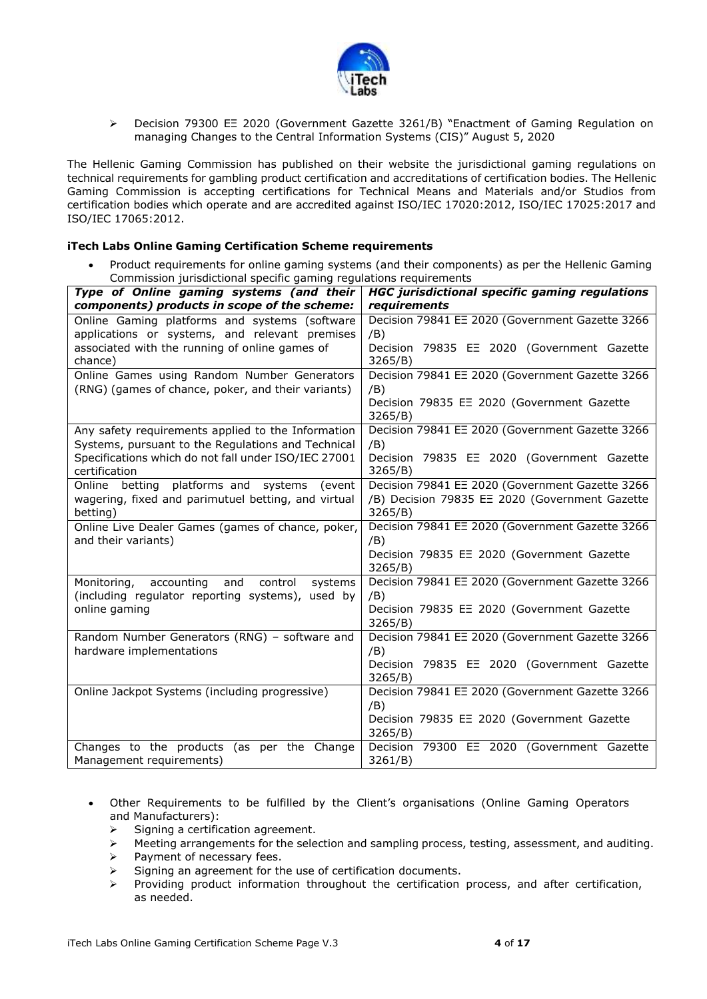

 Decision 79300 ΕΞ 2020 (Government Gazette 3261/Β) "Enactment of Gaming Regulation on managing Changes to the Central Information Systems (CIS)" August 5, 2020

The Hellenic Gaming Commission has published on their website the jurisdictional gaming regulations on technical requirements for gambling product certification and accreditations of certification bodies. The Hellenic Gaming Commission is accepting certifications for Technical Means and Materials and/or Studios from certification bodies which operate and are accredited against ISO/IEC 17020:2012, ISO/IEC 17025:2017 and ISO/IEC 17065:2012.

#### **iTech Labs Online Gaming Certification Scheme requirements**

 Product requirements for online gaming systems (and their components) as per the Hellenic Gaming Commission jurisdictional specific gaming regulations requirements

| Type of Online gaming systems (and their                              | <b>HGC</b> jurisdictional specific gaming regulations |
|-----------------------------------------------------------------------|-------------------------------------------------------|
| components) products in scope of the scheme:                          | requirements                                          |
| Online Gaming platforms and systems (software                         | Decision 79841 EE 2020 (Government Gazette 3266       |
| applications or systems, and relevant premises                        | /B)                                                   |
| associated with the running of online games of                        | Decision 79835 EE 2020 (Government Gazette            |
| chance)                                                               | 3265/B)                                               |
| Online Games using Random Number Generators                           | Decision 79841 EE 2020 (Government Gazette 3266       |
| (RNG) (games of chance, poker, and their variants)                    | /B)                                                   |
|                                                                       | Decision 79835 EE 2020 (Government Gazette            |
|                                                                       | 3265/B)                                               |
| Any safety requirements applied to the Information                    | Decision 79841 EE 2020 (Government Gazette 3266       |
| Systems, pursuant to the Regulations and Technical                    | /B)                                                   |
| Specifications which do not fall under ISO/IEC 27001<br>certification | Decision 79835 EE 2020 (Government Gazette<br>3265/B) |
| Online betting platforms and systems<br>(event                        | Decision 79841 EE 2020 (Government Gazette 3266       |
| wagering, fixed and parimutuel betting, and virtual                   | /B) Decision 79835 EE 2020 (Government Gazette        |
| betting)                                                              | 3265/B)                                               |
| Online Live Dealer Games (games of chance, poker,                     | Decision 79841 EE 2020 (Government Gazette 3266       |
| and their variants)                                                   | /B)                                                   |
|                                                                       | Decision 79835 EE 2020 (Government Gazette            |
|                                                                       | 3265/B)                                               |
| accounting<br>and<br>control<br>systems<br>Monitoring,                | Decision 79841 EE 2020 (Government Gazette 3266       |
| (including regulator reporting systems), used by                      | /B)                                                   |
| online gaming                                                         | Decision 79835 EE 2020 (Government Gazette            |
|                                                                       | 3265/B)                                               |
| Random Number Generators (RNG) - software and                         | Decision 79841 EE 2020 (Government Gazette 3266       |
| hardware implementations                                              | /B)<br>Decision 79835 EE 2020 (Government Gazette     |
|                                                                       | 3265/B)                                               |
| Online Jackpot Systems (including progressive)                        | Decision 79841 EE 2020 (Government Gazette 3266       |
|                                                                       | /B)                                                   |
|                                                                       | Decision 79835 EE 2020 (Government Gazette            |
|                                                                       | 3265/B)                                               |
| Changes to the products (as per the Change                            | Decision 79300 EE 2020 (Government Gazette            |
| Management requirements)                                              | $3261/B$ )                                            |

- Other Requirements to be fulfilled by the Client's organisations (Online Gaming Operators and Manufacturers):
	- $\triangleright$  Signing a certification agreement.
	- $\triangleright$  Meeting arrangements for the selection and sampling process, testing, assessment, and auditing.
	- $\triangleright$  Payment of necessary fees.
	- $\triangleright$  Signing an agreement for the use of certification documents.
	- $\triangleright$  Providing product information throughout the certification process, and after certification, as needed.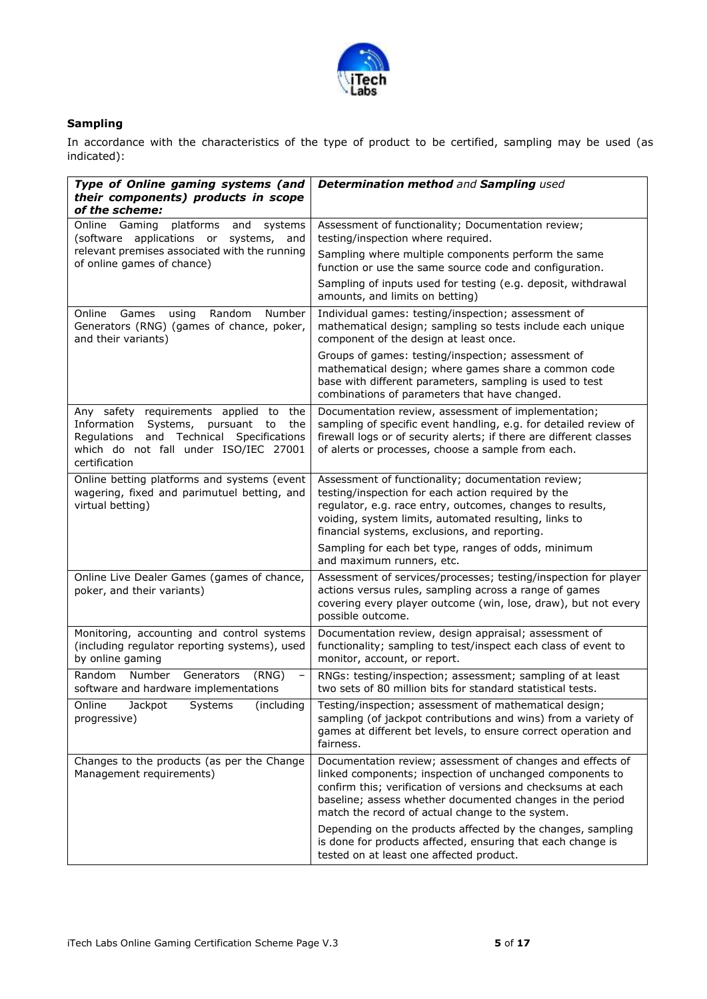

### **Sampling**

In accordance with the characteristics of the type of product to be certified, sampling may be used (as indicated):

| Type of Online gaming systems (and<br>their components) products in scope<br>of the scheme:                                                                                                   | Determination method and Sampling used                                                                                                                                                                                                                                                                  |
|-----------------------------------------------------------------------------------------------------------------------------------------------------------------------------------------------|---------------------------------------------------------------------------------------------------------------------------------------------------------------------------------------------------------------------------------------------------------------------------------------------------------|
| Online Gaming<br>platforms<br>systems<br>and<br>(software applications or systems, and                                                                                                        | Assessment of functionality; Documentation review;<br>testing/inspection where required.                                                                                                                                                                                                                |
| relevant premises associated with the running<br>of online games of chance)                                                                                                                   | Sampling where multiple components perform the same<br>function or use the same source code and configuration.                                                                                                                                                                                          |
|                                                                                                                                                                                               | Sampling of inputs used for testing (e.g. deposit, withdrawal<br>amounts, and limits on betting)                                                                                                                                                                                                        |
| Online Games using<br>Random<br>Number<br>Generators (RNG) (games of chance, poker,<br>and their variants)                                                                                    | Individual games: testing/inspection; assessment of<br>mathematical design; sampling so tests include each unique<br>component of the design at least once.                                                                                                                                             |
|                                                                                                                                                                                               | Groups of games: testing/inspection; assessment of<br>mathematical design; where games share a common code<br>base with different parameters, sampling is used to test<br>combinations of parameters that have changed.                                                                                 |
| Any safety requirements applied to the<br>Information<br>Systems, pursuant to<br>the<br>and Technical Specifications<br>Regulations<br>which do not fall under ISO/IEC 27001<br>certification | Documentation review, assessment of implementation;<br>sampling of specific event handling, e.g. for detailed review of<br>firewall logs or of security alerts; if there are different classes<br>of alerts or processes, choose a sample from each.                                                    |
| Online betting platforms and systems (event<br>wagering, fixed and parimutuel betting, and<br>virtual betting)                                                                                | Assessment of functionality; documentation review;<br>testing/inspection for each action required by the<br>regulator, e.g. race entry, outcomes, changes to results,<br>voiding, system limits, automated resulting, links to<br>financial systems, exclusions, and reporting.                         |
|                                                                                                                                                                                               | Sampling for each bet type, ranges of odds, minimum<br>and maximum runners, etc.                                                                                                                                                                                                                        |
| Online Live Dealer Games (games of chance,<br>poker, and their variants)                                                                                                                      | Assessment of services/processes; testing/inspection for player<br>actions versus rules, sampling across a range of games<br>covering every player outcome (win, lose, draw), but not every<br>possible outcome.                                                                                        |
| Monitoring, accounting and control systems<br>(including regulator reporting systems), used<br>by online gaming                                                                               | Documentation review, design appraisal; assessment of<br>functionality; sampling to test/inspect each class of event to<br>monitor, account, or report.                                                                                                                                                 |
| Random<br>Number<br>Generators<br>(RNG)<br>$\overline{\phantom{a}}$<br>software and hardware implementations                                                                                  | RNGs: testing/inspection; assessment; sampling of at least<br>two sets of 80 million bits for standard statistical tests.                                                                                                                                                                               |
| Systems<br>Online Jackpot<br>(including<br>progressive)                                                                                                                                       | Testing/inspection; assessment of mathematical design;<br>sampling (of jackpot contributions and wins) from a variety of<br>games at different bet levels, to ensure correct operation and<br>fairness.                                                                                                 |
| Changes to the products (as per the Change<br>Management requirements)                                                                                                                        | Documentation review; assessment of changes and effects of<br>linked components; inspection of unchanged components to<br>confirm this; verification of versions and checksums at each<br>baseline; assess whether documented changes in the period<br>match the record of actual change to the system. |
|                                                                                                                                                                                               | Depending on the products affected by the changes, sampling<br>is done for products affected, ensuring that each change is<br>tested on at least one affected product.                                                                                                                                  |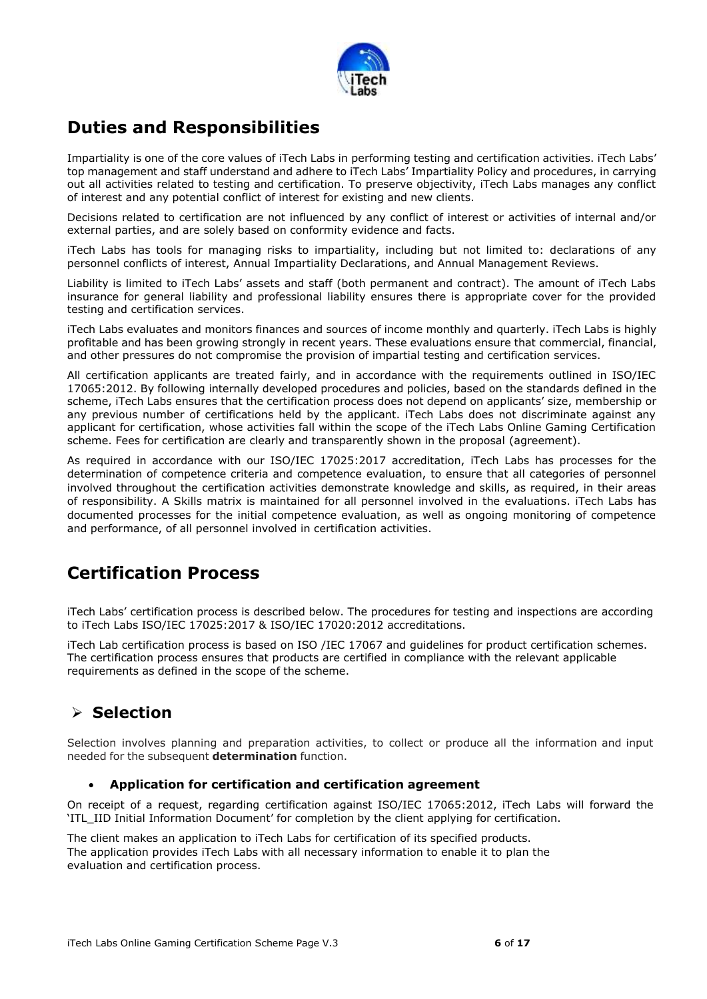

## **Duties and Responsibilities**

Impartiality is one of the core values of iTech Labs in performing testing and certification activities. iTech Labs' top management and staff understand and adhere to iTech Labs' Impartiality Policy and procedures, in carrying out all activities related to testing and certification. To preserve objectivity, iTech Labs manages any conflict of interest and any potential conflict of interest for existing and new clients.

Decisions related to certification are not influenced by any conflict of interest or activities of internal and/or external parties, and are solely based on conformity evidence and facts.

iTech Labs has tools for managing risks to impartiality, including but not limited to: declarations of any personnel conflicts of interest, Annual Impartiality Declarations, and Annual Management Reviews.

Liability is limited to iTech Labs' assets and staff (both permanent and contract). The amount of iTech Labs insurance for general liability and professional liability ensures there is appropriate cover for the provided testing and certification services.

iTech Labs evaluates and monitors finances and sources of income monthly and quarterly. iTech Labs is highly profitable and has been growing strongly in recent years. These evaluations ensure that commercial, financial, and other pressures do not compromise the provision of impartial testing and certification services.

All certification applicants are treated fairly, and in accordance with the requirements outlined in ISO/IEC 17065:2012. By following internally developed procedures and policies, based on the standards defined in the scheme, iTech Labs ensures that the certification process does not depend on applicants' size, membership or any previous number of certifications held by the applicant. iTech Labs does not discriminate against any applicant for certification, whose activities fall within the scope of the iTech Labs Online Gaming Certification scheme. Fees for certification are clearly and transparently shown in the proposal (agreement).

As required in accordance with our ISO/IEC 17025:2017 accreditation, iTech Labs has processes for the determination of competence criteria and competence evaluation, to ensure that all categories of personnel involved throughout the certification activities demonstrate knowledge and skills, as required, in their areas of responsibility. A Skills matrix is maintained for all personnel involved in the evaluations. iTech Labs has documented processes for the initial competence evaluation, as well as ongoing monitoring of competence and performance, of all personnel involved in certification activities.

## **Certification Process**

iTech Labs' certification process is described below. The procedures for testing and inspections are according to iTech Labs ISO/IEC 17025:2017 & ISO/IEC 17020:2012 accreditations.

iTech Lab certification process is based on ISO /IEC 17067 and guidelines for product certification schemes. The certification process ensures that products are certified in compliance with the relevant applicable requirements as defined in the scope of the scheme.

## **Selection**

Selection involves planning and preparation activities, to collect or produce all the information and input needed for the subsequent **determination** function.

### **Application for certification and certification agreement**

On receipt of a request, regarding certification against ISO/IEC 17065:2012, iTech Labs will forward the 'ITL\_IID Initial Information Document' for completion by the client applying for certification.

The client makes an application to iTech Labs for certification of its specified products. The application provides iTech Labs with all necessary information to enable it to plan the evaluation and certification process.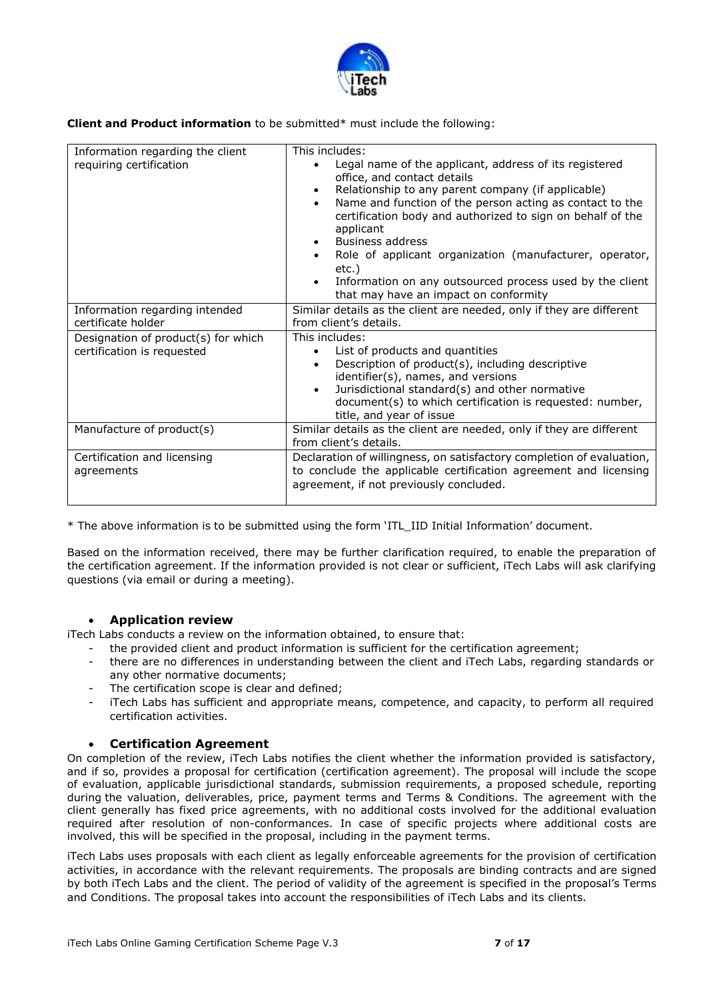

**Client and Product information** to be submitted\* must include the following:

| Information regarding the client<br>requiring certification       | This includes:<br>Legal name of the applicant, address of its registered<br>office, and contact details<br>Relationship to any parent company (if applicable)<br>$\bullet$<br>Name and function of the person acting as contact to the<br>$\bullet$<br>certification body and authorized to sign on behalf of the<br>applicant<br><b>Business address</b><br>Role of applicant organization (manufacturer, operator,<br>etc.)<br>Information on any outsourced process used by the client<br>that may have an impact on conformity |
|-------------------------------------------------------------------|------------------------------------------------------------------------------------------------------------------------------------------------------------------------------------------------------------------------------------------------------------------------------------------------------------------------------------------------------------------------------------------------------------------------------------------------------------------------------------------------------------------------------------|
| Information regarding intended<br>certificate holder              | Similar details as the client are needed, only if they are different<br>from client's details.                                                                                                                                                                                                                                                                                                                                                                                                                                     |
| Designation of product(s) for which<br>certification is requested | This includes:<br>List of products and quantities<br>$\bullet$<br>Description of product(s), including descriptive<br>$\bullet$<br>identifier(s), names, and versions<br>Jurisdictional standard(s) and other normative<br>$\bullet$<br>document(s) to which certification is requested: number,<br>title, and year of issue                                                                                                                                                                                                       |
| Manufacture of product(s)                                         | Similar details as the client are needed, only if they are different<br>from client's details.                                                                                                                                                                                                                                                                                                                                                                                                                                     |
| Certification and licensing<br>agreements                         | Declaration of willingness, on satisfactory completion of evaluation,<br>to conclude the applicable certification agreement and licensing<br>agreement, if not previously concluded.                                                                                                                                                                                                                                                                                                                                               |

\* The above information is to be submitted using the form 'ITL\_IID Initial Information' document.

Based on the information received, there may be further clarification required, to enable the preparation of the certification agreement. If the information provided is not clear or sufficient, iTech Labs will ask clarifying questions (via email or during a meeting).

### **Application review**

iTech Labs conducts a review on the information obtained, to ensure that:

- the provided client and product information is sufficient for the certification agreement;
- there are no differences in understanding between the client and iTech Labs, regarding standards or any other normative documents;
- The certification scope is clear and defined;
- iTech Labs has sufficient and appropriate means, competence, and capacity, to perform all required certification activities.

#### **Certification Agreement**

On completion of the review, iTech Labs notifies the client whether the information provided is satisfactory, and if so, provides a proposal for certification (certification agreement). The proposal will include the scope of evaluation, applicable jurisdictional standards, submission requirements, a proposed schedule, reporting during the valuation, deliverables, price, payment terms and Terms & Conditions. The agreement with the client generally has fixed price agreements, with no additional costs involved for the additional evaluation required after resolution of non-conformances. In case of specific projects where additional costs are involved, this will be specified in the proposal, including in the payment terms.

iTech Labs uses proposals with each client as legally enforceable agreements for the provision of certification activities, in accordance with the relevant requirements. The proposals are binding contracts and are signed by both iTech Labs and the client. The period of validity of the agreement is specified in the proposal's Terms and Conditions. The proposal takes into account the responsibilities of iTech Labs and its clients.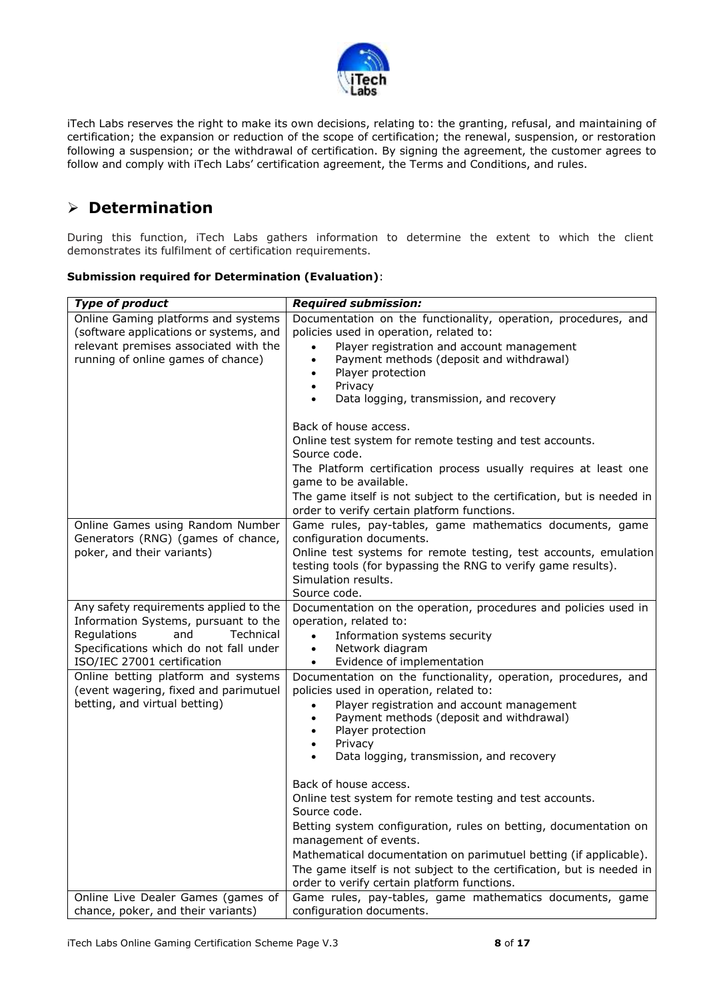

iTech Labs reserves the right to make its own decisions, relating to: the granting, refusal, and maintaining of certification; the expansion or reduction of the scope of certification; the renewal, suspension, or restoration following a suspension; or the withdrawal of certification. By signing the agreement, the customer agrees to follow and comply with iTech Labs' certification agreement, the Terms and Conditions, and rules.

## **Determination**

During this function, iTech Labs gathers information to determine the extent to which the client demonstrates its fulfilment of certification requirements.

| <b>Submission required for Determination (Evaluation):</b> |  |  |  |
|------------------------------------------------------------|--|--|--|
|                                                            |  |  |  |

| <b>Type of product</b>                                                                                                                                                                     | <b>Required submission:</b>                                                                                                                                                                                                                                                                                                                                                                                                 |
|--------------------------------------------------------------------------------------------------------------------------------------------------------------------------------------------|-----------------------------------------------------------------------------------------------------------------------------------------------------------------------------------------------------------------------------------------------------------------------------------------------------------------------------------------------------------------------------------------------------------------------------|
| Online Gaming platforms and systems<br>(software applications or systems, and<br>relevant premises associated with the<br>running of online games of chance)                               | Documentation on the functionality, operation, procedures, and<br>policies used in operation, related to:<br>Player registration and account management<br>Payment methods (deposit and withdrawal)<br>$\bullet$<br>Player protection<br>Privacy<br>$\bullet$<br>Data logging, transmission, and recovery                                                                                                                   |
|                                                                                                                                                                                            | Back of house access.<br>Online test system for remote testing and test accounts.<br>Source code.<br>The Platform certification process usually requires at least one<br>game to be available.<br>The game itself is not subject to the certification, but is needed in<br>order to verify certain platform functions.                                                                                                      |
| Online Games using Random Number<br>Generators (RNG) (games of chance,<br>poker, and their variants)                                                                                       | Game rules, pay-tables, game mathematics documents, game<br>configuration documents.<br>Online test systems for remote testing, test accounts, emulation<br>testing tools (for bypassing the RNG to verify game results).<br>Simulation results.<br>Source code.                                                                                                                                                            |
| Any safety requirements applied to the<br>Information Systems, pursuant to the<br>Regulations<br>and<br>Technical<br>Specifications which do not fall under<br>ISO/IEC 27001 certification | Documentation on the operation, procedures and policies used in<br>operation, related to:<br>Information systems security<br>Network diagram<br>$\bullet$<br>Evidence of implementation<br>$\bullet$                                                                                                                                                                                                                        |
| Online betting platform and systems<br>(event wagering, fixed and parimutuel<br>betting, and virtual betting)                                                                              | Documentation on the functionality, operation, procedures, and<br>policies used in operation, related to:<br>Player registration and account management<br>Payment methods (deposit and withdrawal)<br>$\bullet$<br>Player protection<br>$\bullet$<br>Privacy<br>$\bullet$<br>Data logging, transmission, and recovery<br>Back of house access.<br>Online test system for remote testing and test accounts.<br>Source code. |
| Online Live Dealer Games (games of                                                                                                                                                         | Betting system configuration, rules on betting, documentation on<br>management of events.<br>Mathematical documentation on parimutuel betting (if applicable).<br>The game itself is not subject to the certification, but is needed in<br>order to verify certain platform functions.<br>Game rules, pay-tables, game mathematics documents, game                                                                          |
| chance, poker, and their variants)                                                                                                                                                         | configuration documents.                                                                                                                                                                                                                                                                                                                                                                                                    |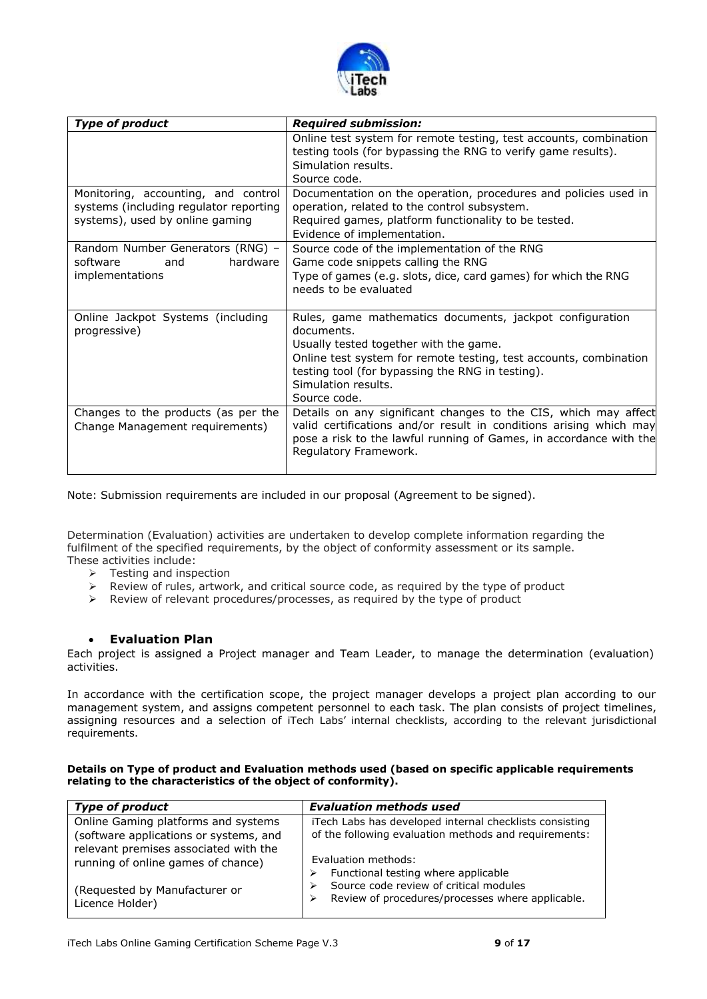

| <b>Type of product</b>                                                                                           | <b>Required submission:</b>                                                                                                                                                                                                                                                      |
|------------------------------------------------------------------------------------------------------------------|----------------------------------------------------------------------------------------------------------------------------------------------------------------------------------------------------------------------------------------------------------------------------------|
|                                                                                                                  | Online test system for remote testing, test accounts, combination<br>testing tools (for bypassing the RNG to verify game results).<br>Simulation results.<br>Source code.                                                                                                        |
| Monitoring, accounting, and control<br>systems (including regulator reporting<br>systems), used by online gaming | Documentation on the operation, procedures and policies used in<br>operation, related to the control subsystem.<br>Required games, platform functionality to be tested.<br>Evidence of implementation.                                                                           |
| Random Number Generators (RNG) -<br>software<br>hardware<br>and<br>implementations                               | Source code of the implementation of the RNG<br>Game code snippets calling the RNG<br>Type of games (e.g. slots, dice, card games) for which the RNG<br>needs to be evaluated                                                                                                    |
| Online Jackpot Systems (including<br>progressive)                                                                | Rules, game mathematics documents, jackpot configuration<br>documents.<br>Usually tested together with the game.<br>Online test system for remote testing, test accounts, combination<br>testing tool (for bypassing the RNG in testing).<br>Simulation results.<br>Source code. |
| Changes to the products (as per the<br>Change Management requirements)                                           | Details on any significant changes to the CIS, which may affect<br>valid certifications and/or result in conditions arising which may<br>pose a risk to the lawful running of Games, in accordance with the<br>Regulatory Framework.                                             |

Note: Submission requirements are included in our proposal (Agreement to be signed).

Determination (Evaluation) activities are undertaken to develop complete information regarding the fulfilment of the specified requirements, by the object of conformity assessment or its sample. These activities include:

- $\triangleright$  Testing and inspection
- $\triangleright$  Review of rules, artwork, and critical source code, as required by the type of product
- $\triangleright$  Review of relevant procedures/processes, as required by the type of product

### **Evaluation Plan**

Each project is assigned a Project manager and Team Leader, to manage the determination (evaluation) activities.

In accordance with the certification scope, the project manager develops a project plan according to our management system, and assigns competent personnel to each task. The plan consists of project timelines, assigning resources and a selection of iTech Labs' internal checklists, according to the relevant jurisdictional requirements.

#### **Details on Type of product and Evaluation methods used (based on specific applicable requirements relating to the characteristics of the object of conformity).**

| <b>Type of product</b>                                                                                                                                                                        | <b>Evaluation methods used</b>                                                                                                                                                                                           |
|-----------------------------------------------------------------------------------------------------------------------------------------------------------------------------------------------|--------------------------------------------------------------------------------------------------------------------------------------------------------------------------------------------------------------------------|
| Online Gaming platforms and systems<br>(software applications or systems, and<br>relevant premises associated with the<br>running of online games of chance)<br>(Requested by Manufacturer or | iTech Labs has developed internal checklists consisting<br>of the following evaluation methods and requirements:<br>Evaluation methods:<br>Functional testing where applicable<br>Source code review of critical modules |
| Licence Holder)                                                                                                                                                                               | Review of procedures/processes where applicable.                                                                                                                                                                         |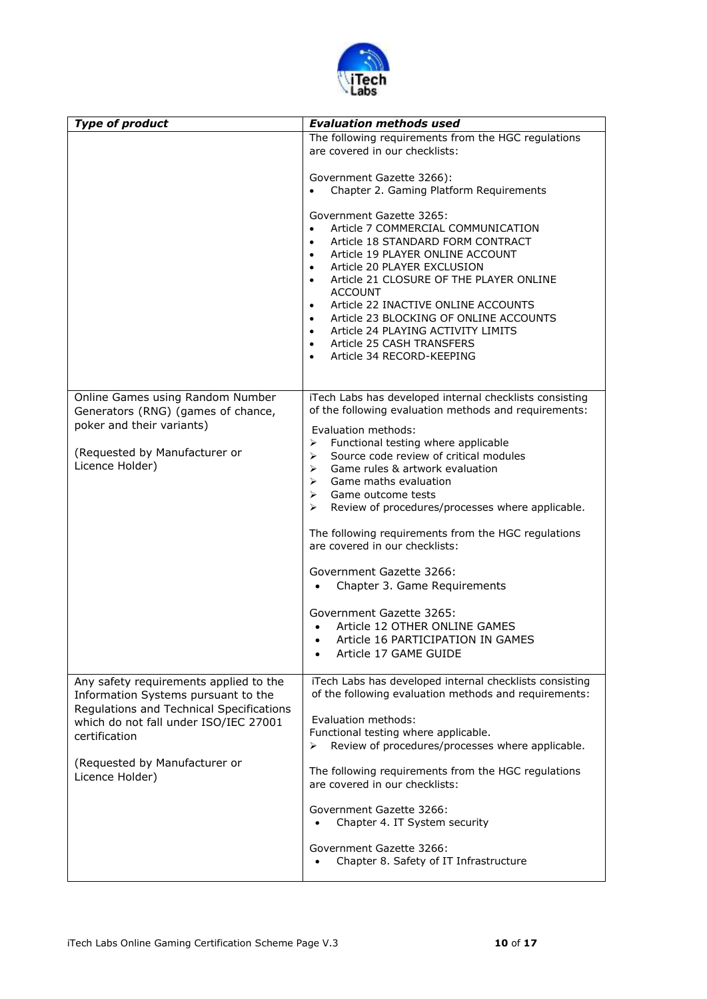

| <b>Type of product</b>                                                                                                                                                              | <b>Evaluation methods used</b>                                                                                                                                                                                                                                                                                                                                                                                                                                                                     |
|-------------------------------------------------------------------------------------------------------------------------------------------------------------------------------------|----------------------------------------------------------------------------------------------------------------------------------------------------------------------------------------------------------------------------------------------------------------------------------------------------------------------------------------------------------------------------------------------------------------------------------------------------------------------------------------------------|
|                                                                                                                                                                                     | The following requirements from the HGC regulations<br>are covered in our checklists:                                                                                                                                                                                                                                                                                                                                                                                                              |
|                                                                                                                                                                                     | Government Gazette 3266):<br>Chapter 2. Gaming Platform Requirements                                                                                                                                                                                                                                                                                                                                                                                                                               |
|                                                                                                                                                                                     | Government Gazette 3265:<br>Article 7 COMMERCIAL COMMUNICATION<br>Article 18 STANDARD FORM CONTRACT<br>$\bullet$<br>Article 19 PLAYER ONLINE ACCOUNT<br>$\bullet$<br>Article 20 PLAYER EXCLUSION<br>Article 21 CLOSURE OF THE PLAYER ONLINE<br>$\bullet$<br><b>ACCOUNT</b><br>Article 22 INACTIVE ONLINE ACCOUNTS<br>$\bullet$<br>Article 23 BLOCKING OF ONLINE ACCOUNTS<br>$\bullet$<br>Article 24 PLAYING ACTIVITY LIMITS<br>Article 25 CASH TRANSFERS<br>$\bullet$<br>Article 34 RECORD-KEEPING |
| Online Games using Random Number<br>Generators (RNG) (games of chance,<br>poker and their variants)                                                                                 | iTech Labs has developed internal checklists consisting<br>of the following evaluation methods and requirements:                                                                                                                                                                                                                                                                                                                                                                                   |
| (Requested by Manufacturer or<br>Licence Holder)                                                                                                                                    | Evaluation methods:<br>Functional testing where applicable<br>➤<br>Source code review of critical modules<br>⋗<br>Game rules & artwork evaluation<br>≻<br>Game maths evaluation<br>➤<br>$\blacktriangleright$<br>Game outcome tests<br>Review of procedures/processes where applicable.<br>≻<br>The following requirements from the HGC regulations<br>are covered in our checklists:<br>Government Gazette 3266:                                                                                  |
|                                                                                                                                                                                     | Chapter 3. Game Requirements                                                                                                                                                                                                                                                                                                                                                                                                                                                                       |
|                                                                                                                                                                                     | Government Gazette 3265:<br>Article 12 OTHER ONLINE GAMES<br>Article 16 PARTICIPATION IN GAMES<br>$\bullet$<br>Article 17 GAME GUIDE                                                                                                                                                                                                                                                                                                                                                               |
| Any safety requirements applied to the<br>Information Systems pursuant to the<br>Regulations and Technical Specifications<br>which do not fall under ISO/IEC 27001<br>certification | iTech Labs has developed internal checklists consisting<br>of the following evaluation methods and requirements:<br>Evaluation methods:<br>Functional testing where applicable.<br>Review of procedures/processes where applicable.<br>➤                                                                                                                                                                                                                                                           |
| (Requested by Manufacturer or<br>Licence Holder)                                                                                                                                    | The following requirements from the HGC regulations<br>are covered in our checklists:                                                                                                                                                                                                                                                                                                                                                                                                              |
|                                                                                                                                                                                     | Government Gazette 3266:<br>Chapter 4. IT System security                                                                                                                                                                                                                                                                                                                                                                                                                                          |
|                                                                                                                                                                                     | Government Gazette 3266:<br>Chapter 8. Safety of IT Infrastructure                                                                                                                                                                                                                                                                                                                                                                                                                                 |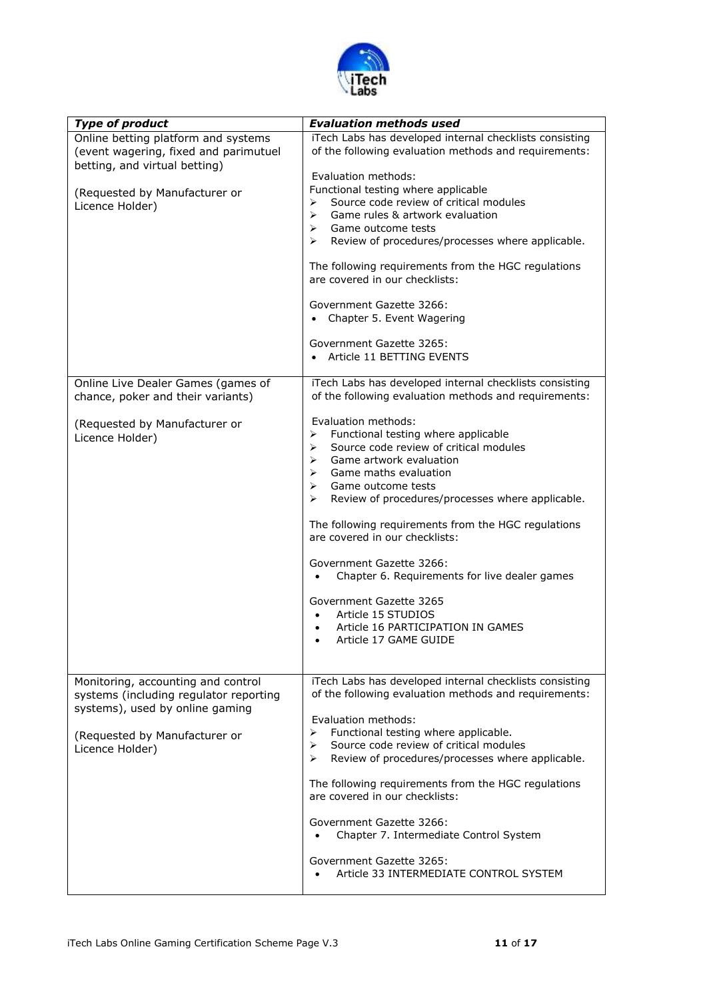

| <b>Type of product</b>                                                                                                                                              | <b>Evaluation methods used</b>                                                                                                                                                                                                                                                                                                                                                                                                                                                                                                                                            |
|---------------------------------------------------------------------------------------------------------------------------------------------------------------------|---------------------------------------------------------------------------------------------------------------------------------------------------------------------------------------------------------------------------------------------------------------------------------------------------------------------------------------------------------------------------------------------------------------------------------------------------------------------------------------------------------------------------------------------------------------------------|
| Online betting platform and systems<br>(event wagering, fixed and parimutuel<br>betting, and virtual betting)                                                       | iTech Labs has developed internal checklists consisting<br>of the following evaluation methods and requirements:                                                                                                                                                                                                                                                                                                                                                                                                                                                          |
| (Requested by Manufacturer or<br>Licence Holder)                                                                                                                    | Evaluation methods:<br>Functional testing where applicable<br>Source code review of critical modules<br>⋗<br>Game rules & artwork evaluation<br>➤<br>Game outcome tests<br>⋗<br>Review of procedures/processes where applicable.<br>≻<br>The following requirements from the HGC regulations<br>are covered in our checklists:<br>Government Gazette 3266:<br>Chapter 5. Event Wagering<br>Government Gazette 3265:<br>Article 11 BETTING EVENTS                                                                                                                          |
| Online Live Dealer Games (games of<br>chance, poker and their variants)                                                                                             | iTech Labs has developed internal checklists consisting<br>of the following evaluation methods and requirements:                                                                                                                                                                                                                                                                                                                                                                                                                                                          |
| (Requested by Manufacturer or<br>Licence Holder)                                                                                                                    | Evaluation methods:<br>Functional testing where applicable<br>⋗<br>Source code review of critical modules<br>⋗<br>Game artwork evaluation<br>➤<br>Game maths evaluation<br>➤<br>$\blacktriangleright$<br>Game outcome tests<br>Review of procedures/processes where applicable.<br>≻<br>The following requirements from the HGC regulations<br>are covered in our checklists:<br>Government Gazette 3266:<br>Chapter 6. Requirements for live dealer games<br>Government Gazette 3265<br>Article 15 STUDIOS<br>Article 16 PARTICIPATION IN GAMES<br>Article 17 GAME GUIDE |
| Monitoring, accounting and control<br>systems (including regulator reporting<br>systems), used by online gaming<br>(Requested by Manufacturer or<br>Licence Holder) | iTech Labs has developed internal checklists consisting<br>of the following evaluation methods and requirements:<br>Evaluation methods:<br>Functional testing where applicable.<br>⋗<br>Source code review of critical modules<br>⋗<br>Review of procedures/processes where applicable.<br>⋗<br>The following requirements from the HGC regulations<br>are covered in our checklists:<br>Government Gazette 3266:<br>Chapter 7. Intermediate Control System<br>Government Gazette 3265:<br>Article 33 INTERMEDIATE CONTROL SYSTEM                                         |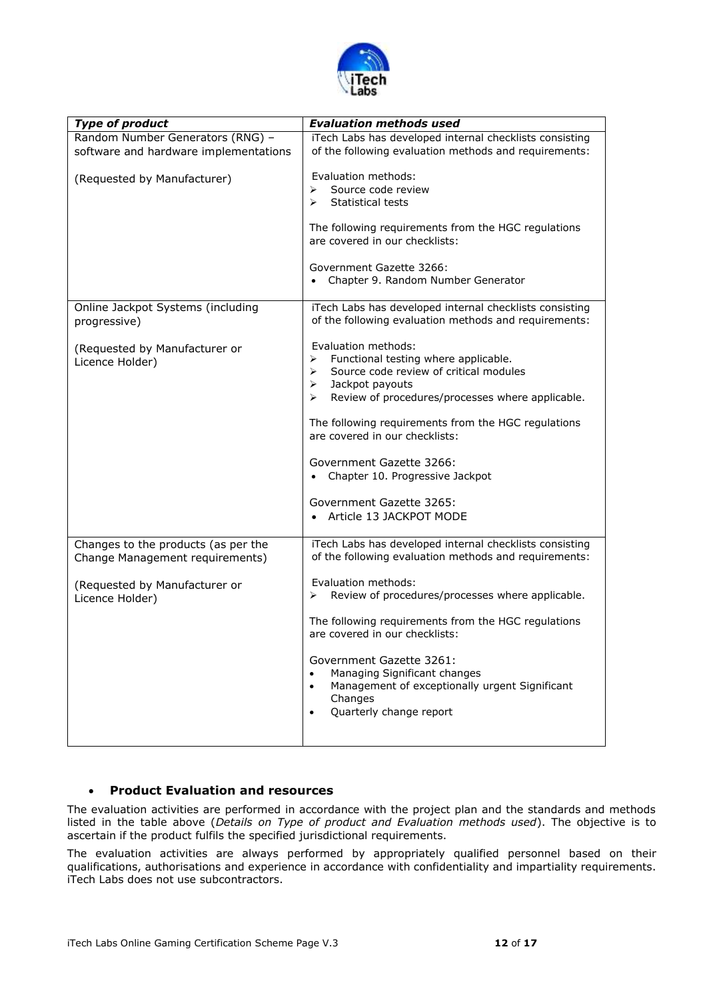

| <b>Type of product</b>                                                    | <b>Evaluation methods used</b>                                                                                                                                                                                                                                                                                                                                                                                  |
|---------------------------------------------------------------------------|-----------------------------------------------------------------------------------------------------------------------------------------------------------------------------------------------------------------------------------------------------------------------------------------------------------------------------------------------------------------------------------------------------------------|
| Random Number Generators (RNG) -<br>software and hardware implementations | iTech Labs has developed internal checklists consisting<br>of the following evaluation methods and requirements:                                                                                                                                                                                                                                                                                                |
| (Requested by Manufacturer)                                               | Evaluation methods:<br>Source code review<br>⋗<br><b>Statistical tests</b><br>$\blacktriangleright$<br>The following requirements from the HGC regulations<br>are covered in our checklists:<br>Government Gazette 3266:<br>Chapter 9. Random Number Generator                                                                                                                                                  |
| Online Jackpot Systems (including<br>progressive)                         | iTech Labs has developed internal checklists consisting<br>of the following evaluation methods and requirements:                                                                                                                                                                                                                                                                                                |
| (Requested by Manufacturer or<br>Licence Holder)                          | Evaluation methods:<br>Functional testing where applicable.<br>≻<br>Source code review of critical modules<br>➤<br>Jackpot payouts<br>➤<br>Review of procedures/processes where applicable.<br>≻<br>The following requirements from the HGC regulations<br>are covered in our checklists:<br>Government Gazette 3266:<br>Chapter 10. Progressive Jackpot<br>Government Gazette 3265:<br>Article 13 JACKPOT MODE |
| Changes to the products (as per the<br>Change Management requirements)    | iTech Labs has developed internal checklists consisting<br>of the following evaluation methods and requirements:                                                                                                                                                                                                                                                                                                |
| (Requested by Manufacturer or<br>Licence Holder)                          | Evaluation methods:<br>Review of procedures/processes where applicable.<br>➤<br>The following requirements from the HGC regulations<br>are covered in our checklists:<br>Government Gazette 3261:<br>Managing Significant changes<br>$\bullet$<br>Management of exceptionally urgent Significant<br>$\bullet$<br>Changes<br>Quarterly change report                                                             |

### **Product Evaluation and resources**

The evaluation activities are performed in accordance with the project plan and the standards and methods listed in the table above (*Details on Type of product and Evaluation methods used*). The objective is to ascertain if the product fulfils the specified jurisdictional requirements.

The evaluation activities are always performed by appropriately qualified personnel based on their qualifications, authorisations and experience in accordance with confidentiality and impartiality requirements. iTech Labs does not use subcontractors.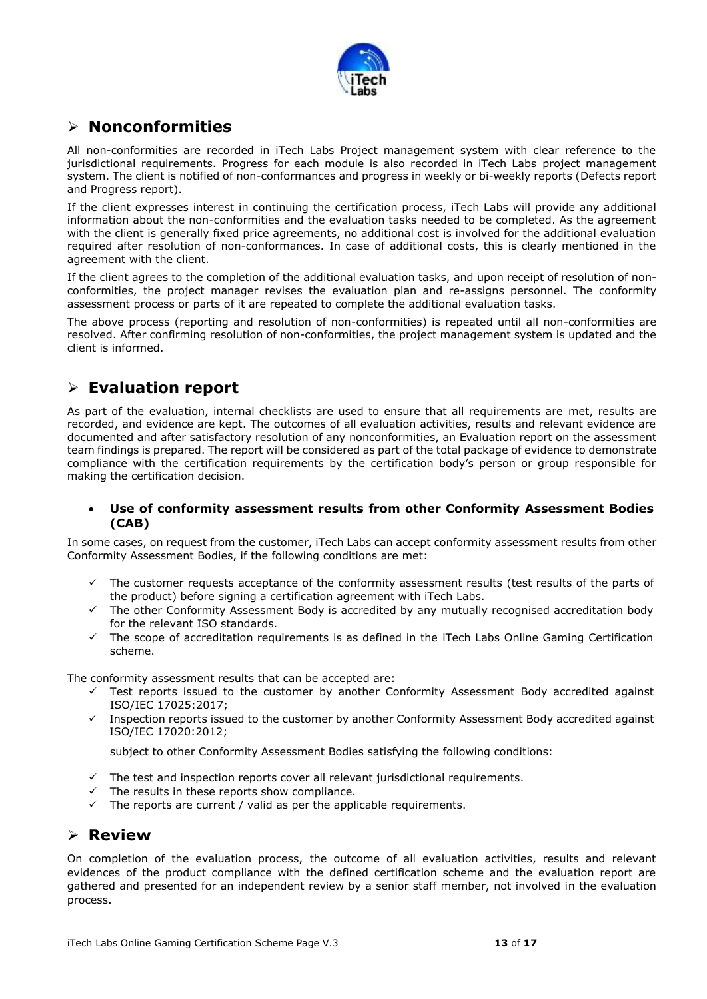

### **Nonconformities**

All non-conformities are recorded in iTech Labs Project management system with clear reference to the jurisdictional requirements. Progress for each module is also recorded in iTech Labs project management system. The client is notified of non-conformances and progress in weekly or bi-weekly reports (Defects report and Progress report).

If the client expresses interest in continuing the certification process, iTech Labs will provide any additional information about the non-conformities and the evaluation tasks needed to be completed. As the agreement with the client is generally fixed price agreements, no additional cost is involved for the additional evaluation required after resolution of non-conformances. In case of additional costs, this is clearly mentioned in the agreement with the client.

If the client agrees to the completion of the additional evaluation tasks, and upon receipt of resolution of nonconformities, the project manager revises the evaluation plan and re-assigns personnel. The conformity assessment process or parts of it are repeated to complete the additional evaluation tasks.

The above process (reporting and resolution of non-conformities) is repeated until all non-conformities are resolved. After confirming resolution of non-conformities, the project management system is updated and the client is informed.

## **Evaluation report**

As part of the evaluation, internal checklists are used to ensure that all requirements are met, results are recorded, and evidence are kept. The outcomes of all evaluation activities, results and relevant evidence are documented and after satisfactory resolution of any nonconformities, an Evaluation report on the assessment team findings is prepared. The report will be considered as part of the total package of evidence to demonstrate compliance with the certification requirements by the certification body's person or group responsible for making the certification decision.

### **Use of conformity assessment results from other Conformity Assessment Bodies (CAB)**

In some cases, on request from the customer, iTech Labs can accept conformity assessment results from other Conformity Assessment Bodies, if the following conditions are met:

- The customer requests acceptance of the conformity assessment results (test results of the parts of the product) before signing a certification agreement with iTech Labs.
- The other Conformity Assessment Body is accredited by any mutually recognised accreditation body for the relevant ISO standards.
- $\checkmark$  The scope of accreditation requirements is as defined in the iTech Labs Online Gaming Certification scheme.

The conformity assessment results that can be accepted are:

- $\checkmark$  Test reports issued to the customer by another Conformity Assessment Body accredited against ISO/IEC 17025:2017;
- $\checkmark$  Inspection reports issued to the customer by another Conformity Assessment Body accredited against ISO/IEC 17020:2012;

subject to other Conformity Assessment Bodies satisfying the following conditions:

- $\checkmark$  The test and inspection reports cover all relevant jurisdictional requirements.
- The results in these reports show compliance.
- $\checkmark$  The reports are current / valid as per the applicable requirements.

### **Review**

On completion of the evaluation process, the outcome of all evaluation activities, results and relevant evidences of the product compliance with the defined certification scheme and the evaluation report are gathered and presented for an independent review by a senior staff member, not involved in the evaluation process.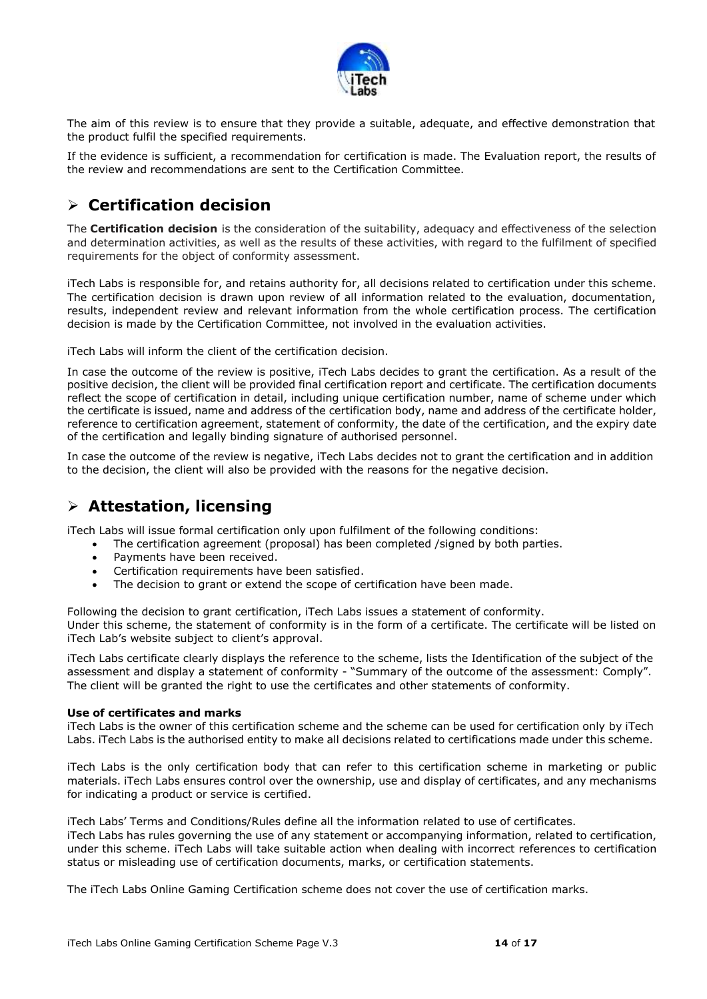

The aim of this review is to ensure that they provide a suitable, adequate, and effective demonstration that the product fulfil the specified requirements.

If the evidence is sufficient, a recommendation for certification is made. The Evaluation report, the results of the review and recommendations are sent to the Certification Committee.

## **Certification decision**

The **Certification decision** is the consideration of the suitability, adequacy and effectiveness of the selection and determination activities, as well as the results of these activities, with regard to the fulfilment of specified requirements for the object of conformity assessment.

iTech Labs is responsible for, and retains authority for, all decisions related to certification under this scheme. The certification decision is drawn upon review of all information related to the evaluation, documentation, results, independent review and relevant information from the whole certification process. The certification decision is made by the Certification Committee, not involved in the evaluation activities.

iTech Labs will inform the client of the certification decision.

In case the outcome of the review is positive, iTech Labs decides to grant the certification. As a result of the positive decision, the client will be provided final certification report and certificate. The certification documents reflect the scope of certification in detail, including unique certification number, name of scheme under which the certificate is issued, name and address of the certification body, name and address of the certificate holder, reference to certification agreement, statement of conformity, the date of the certification, and the expiry date of the certification and legally binding signature of authorised personnel.

In case the outcome of the review is negative, iTech Labs decides not to grant the certification and in addition to the decision, the client will also be provided with the reasons for the negative decision.

### **Attestation, licensing**

iTech Labs will issue formal certification only upon fulfilment of the following conditions:

- The certification agreement (proposal) has been completed /signed by both parties.
- Payments have been received.
- Certification requirements have been satisfied.
- The decision to grant or extend the scope of certification have been made.

Following the decision to grant certification, iTech Labs issues a statement of conformity. Under this scheme, the statement of conformity is in the form of a certificate. The certificate will be listed on iTech Lab's website subject to client's approval.

iTech Labs certificate clearly displays the reference to the scheme, lists the Identification of the subject of the assessment and display a statement of conformity - "Summary of the outcome of the assessment: Comply". The client will be granted the right to use the certificates and other statements of conformity.

#### **Use of certificates and marks**

iTech Labs is the owner of this certification scheme and the scheme can be used for certification only by iTech Labs. iTech Labs is the authorised entity to make all decisions related to certifications made under this scheme.

iTech Labs is the only certification body that can refer to this certification scheme in marketing or public materials. iTech Labs ensures control over the ownership, use and display of certificates, and any mechanisms for indicating a product or service is certified.

iTech Labs' Terms and Conditions/Rules define all the information related to use of certificates. iTech Labs has rules governing the use of any statement or accompanying information, related to certification, under this scheme. iTech Labs will take suitable action when dealing with incorrect references to certification status or misleading use of certification documents, marks, or certification statements.

The iTech Labs Online Gaming Certification scheme does not cover the use of certification marks.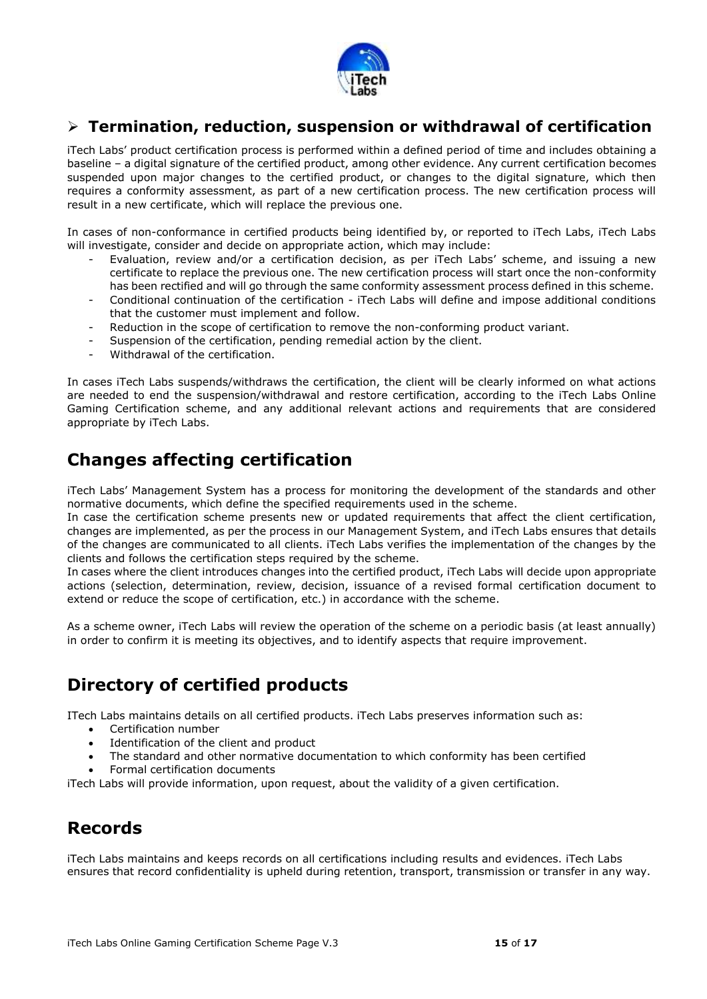

### **Termination, reduction, suspension or withdrawal of certification**

iTech Labs' product certification process is performed within a defined period of time and includes obtaining a baseline – a digital signature of the certified product, among other evidence. Any current certification becomes suspended upon major changes to the certified product, or changes to the digital signature, which then requires a conformity assessment, as part of a new certification process. The new certification process will result in a new certificate, which will replace the previous one.

In cases of non-conformance in certified products being identified by, or reported to iTech Labs, iTech Labs will investigate, consider and decide on appropriate action, which may include:

- Evaluation, review and/or a certification decision, as per iTech Labs' scheme, and issuing a new certificate to replace the previous one. The new certification process will start once the non-conformity has been rectified and will go through the same conformity assessment process defined in this scheme.
- Conditional continuation of the certification iTech Labs will define and impose additional conditions that the customer must implement and follow.
- Reduction in the scope of certification to remove the non-conforming product variant.
- Suspension of the certification, pending remedial action by the client.
- Withdrawal of the certification.

In cases iTech Labs suspends/withdraws the certification, the client will be clearly informed on what actions are needed to end the suspension/withdrawal and restore certification, according to the iTech Labs Online Gaming Certification scheme, and any additional relevant actions and requirements that are considered appropriate by iTech Labs.

## **Changes affecting certification**

iTech Labs' Management System has a process for monitoring the development of the standards and other normative documents, which define the specified requirements used in the scheme.

In case the certification scheme presents new or updated requirements that affect the client certification, changes are implemented, as per the process in our Management System, and iTech Labs ensures that details of the changes are communicated to all clients. iTech Labs verifies the implementation of the changes by the clients and follows the certification steps required by the scheme.

In cases where the client introduces changes into the certified product, iTech Labs will decide upon appropriate actions (selection, determination, review, decision, issuance of a revised formal certification document to extend or reduce the scope of certification, etc.) in accordance with the scheme.

As a scheme owner, iTech Labs will review the operation of the scheme on a periodic basis (at least annually) in order to confirm it is meeting its objectives, and to identify aspects that require improvement.

# **Directory of certified products**

ITech Labs maintains details on all certified products. iTech Labs preserves information such as:

- Certification number
- Identification of the client and product
- The standard and other normative documentation to which conformity has been certified
- Formal certification documents

iTech Labs will provide information, upon request, about the validity of a given certification.

# **Records**

iTech Labs maintains and keeps records on all certifications including results and evidences. iTech Labs ensures that record confidentiality is upheld during retention, transport, transmission or transfer in any way.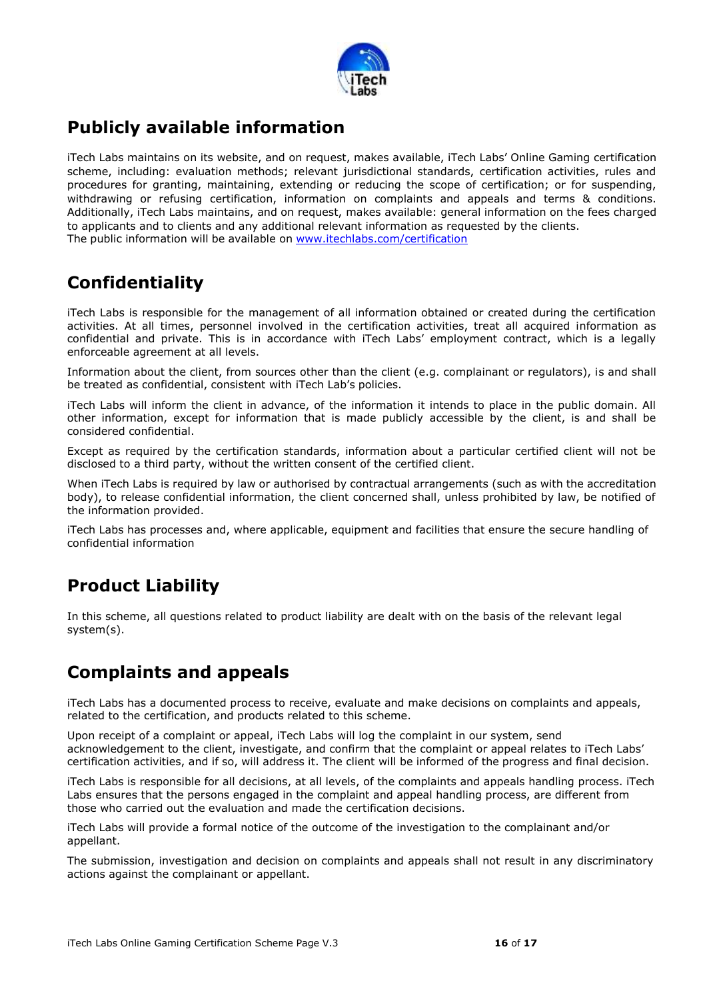

## **Publicly available information**

iTech Labs maintains on its website, and on request, makes available, iTech Labs' Online Gaming certification scheme, including: evaluation methods; relevant jurisdictional standards, certification activities, rules and procedures for granting, maintaining, extending or reducing the scope of certification; or for suspending, withdrawing or refusing certification, information on complaints and appeals and terms & conditions. Additionally, iTech Labs maintains, and on request, makes available: general information on the fees charged to applicants and to clients and any additional relevant information as requested by the clients. The public information will be available on [www.itechlabs.com/certification](http://www.itechlabs.com/certification)

## **Confidentiality**

iTech Labs is responsible for the management of all information obtained or created during the certification activities. At all times, personnel involved in the certification activities, treat all acquired information as confidential and private. This is in accordance with iTech Labs' employment contract, which is a legally enforceable agreement at all levels.

Information about the client, from sources other than the client (e.g. complainant or regulators), is and shall be treated as confidential, consistent with iTech Lab's policies.

iTech Labs will inform the client in advance, of the information it intends to place in the public domain. All other information, except for information that is made publicly accessible by the client, is and shall be considered confidential.

Except as required by the certification standards, information about a particular certified client will not be disclosed to a third party, without the written consent of the certified client.

When iTech Labs is required by law or authorised by contractual arrangements (such as with the accreditation body), to release confidential information, the client concerned shall, unless prohibited by law, be notified of the information provided.

iTech Labs has processes and, where applicable, equipment and facilities that ensure the secure handling of confidential information

# **Product Liability**

In this scheme, all questions related to product liability are dealt with on the basis of the relevant legal system(s).

# **Complaints and appeals**

iTech Labs has a documented process to receive, evaluate and make decisions on complaints and appeals, related to the certification, and products related to this scheme.

Upon receipt of a complaint or appeal, iTech Labs will log the complaint in our system, send acknowledgement to the client, investigate, and confirm that the complaint or appeal relates to iTech Labs' certification activities, and if so, will address it. The client will be informed of the progress and final decision.

iTech Labs is responsible for all decisions, at all levels, of the complaints and appeals handling process. iTech Labs ensures that the persons engaged in the complaint and appeal handling process, are different from those who carried out the evaluation and made the certification decisions.

iTech Labs will provide a formal notice of the outcome of the investigation to the complainant and/or appellant.

The submission, investigation and decision on complaints and appeals shall not result in any discriminatory actions against the complainant or appellant.